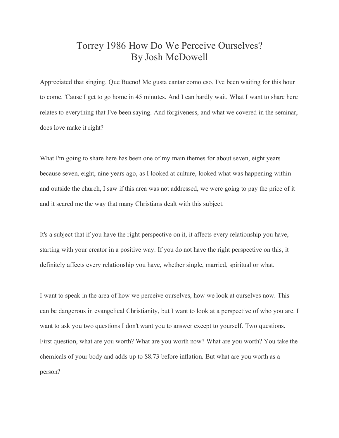## Torrey 1986 How Do We Perceive Ourselves? By Josh McDowell

Appreciated that singing. Que Bueno! Me gusta cantar como eso. I've been waiting for this hour to come. 'Cause I get to go home in 45 minutes. And I can hardly wait. What I want to share here relates to everything that I've been saying. And forgiveness, and what we covered in the seminar, does love make it right?

What I'm going to share here has been one of my main themes for about seven, eight years because seven, eight, nine years ago, as I looked at culture, looked what was happening within and outside the church, I saw if this area was not addressed, we were going to pay the price of it and it scared me the way that many Christians dealt with this subject.

It's a subject that if you have the right perspective on it, it affects every relationship you have, starting with your creator in a positive way. If you do not have the right perspective on this, it definitely affects every relationship you have, whether single, married, spiritual or what.

I want to speak in the area of how we perceive ourselves, how we look at ourselves now. This can be dangerous in evangelical Christianity, but I want to look at a perspective of who you are. I want to ask you two questions I don't want you to answer except to yourself. Two questions. First question, what are you worth? What are you worth now? What are you worth? You take the chemicals of your body and adds up to \$8.73 before inflation. But what are you worth as a person?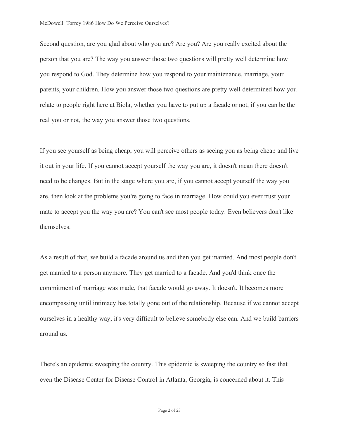Second question, are you glad about who you are? Are you? Are you really excited about the person that you are? The way you answer those two questions will pretty well determine how you respond to God. They determine how you respond to your maintenance, marriage, your parents, your children. How you answer those two questions are pretty well determined how you relate to people right here at Biola, whether you have to put up a facade or not, if you can be the real you or not, the way you answer those two questions.

If you see yourself as being cheap, you will perceive others as seeing you as being cheap and live it out in your life. If you cannot accept yourself the way you are, it doesn't mean there doesn't need to be changes. But in the stage where you are, if you cannot accept yourself the way you are, then look at the problems you're going to face in marriage. How could you ever trust your mate to accept you the way you are? You can't see most people today. Even believers don't like themselves.

As a result of that, we build a facade around us and then you get married. And most people don't get married to a person anymore. They get married to a facade. And you'd think once the commitment of marriage was made, that facade would go away. It doesn't. It becomes more encompassing until intimacy has totally gone out of the relationship. Because if we cannot accept ourselves in a healthy way, it's very difficult to believe somebody else can. And we build barriers around us.

There's an epidemic sweeping the country. This epidemic is sweeping the country so fast that even the Disease Center for Disease Control in Atlanta, Georgia, is concerned about it. This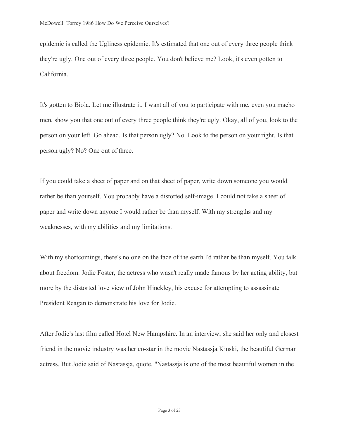epidemic is called the Ugliness epidemic. It's estimated that one out of every three people think they're ugly. One out of every three people. You don't believe me? Look, it's even gotten to California.

It's gotten to Biola. Let me illustrate it. I want all of you to participate with me, even you macho men, show you that one out of every three people think they're ugly. Okay, all of you, look to the person on your left. Go ahead. Is that person ugly? No. Look to the person on your right. Is that person ugly? No? One out of three.

If you could take a sheet of paper and on that sheet of paper, write down someone you would rather be than yourself. You probably have a distorted self-image. I could not take a sheet of paper and write down anyone I would rather be than myself. With my strengths and my weaknesses, with my abilities and my limitations.

With my shortcomings, there's no one on the face of the earth I'd rather be than myself. You talk about freedom. Jodie Foster, the actress who wasn't really made famous by her acting ability, but more by the distorted love view of John Hinckley, his excuse for attempting to assassinate President Reagan to demonstrate his love for Jodie.

After Jodie's last film called Hotel New Hampshire. In an interview, she said her only and closest friend in the movie industry was her co-star in the movie Nastassja Kinski, the beautiful German actress. But Jodie said of Nastassja, quote, "Nastassja is one of the most beautiful women in the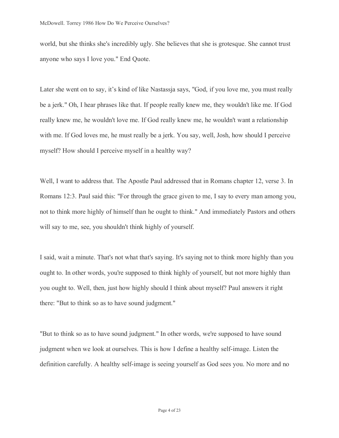world, but she thinks she's incredibly ugly. She believes that she is grotesque. She cannot trust anyone who says I love you." End Quote.

Later she went on to say, it's kind of like Nastassja says, "God, if you love me, you must really be a jerk." Oh, I hear phrases like that. If people really knew me, they wouldn't like me. If God really knew me, he wouldn't love me. If God really knew me, he wouldn't want a relationship with me. If God loves me, he must really be a jerk. You say, well, Josh, how should I perceive myself? How should I perceive myself in a healthy way?

Well, I want to address that. The Apostle Paul addressed that in Romans chapter 12, verse 3. In Romans 12:3. Paul said this: "For through the grace given to me, I say to every man among you, not to think more highly of himself than he ought to think." And immediately Pastors and others will say to me, see, you shouldn't think highly of yourself.

I said, wait a minute. That's not what that's saying. It's saying not to think more highly than you ought to. In other words, you're supposed to think highly of yourself, but not more highly than you ought to. Well, then, just how highly should I think about myself? Paul answers it right there: "But to think so as to have sound judgment."

"But to think so as to have sound judgment." In other words, we're supposed to have sound judgment when we look at ourselves. This is how I define a healthy self-image. Listen the definition carefully. A healthy self-image is seeing yourself as God sees you. No more and no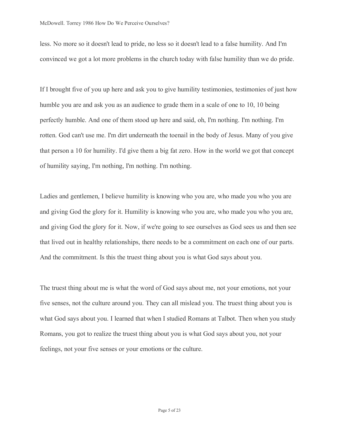less. No more so it doesn't lead to pride, no less so it doesn't lead to a false humility. And I'm convinced we got a lot more problems in the church today with false humility than we do pride.

If I brought five of you up here and ask you to give humility testimonies, testimonies of just how humble you are and ask you as an audience to grade them in a scale of one to 10, 10 being perfectly humble. And one of them stood up here and said, oh, I'm nothing. I'm nothing. I'm rotten. God can't use me. I'm dirt underneath the toenail in the body of Jesus. Many of you give that person a 10 for humility. I'd give them a big fat zero. How in the world we got that concept of humility saying, I'm nothing, I'm nothing. I'm nothing.

Ladies and gentlemen, I believe humility is knowing who you are, who made you who you are and giving God the glory for it. Humility is knowing who you are, who made you who you are, and giving God the glory for it. Now, if we're going to see ourselves as God sees us and then see that lived out in healthy relationships, there needs to be a commitment on each one of our parts. And the commitment. Is this the truest thing about you is what God says about you.

The truest thing about me is what the word of God says about me, not your emotions, not your five senses, not the culture around you. They can all mislead you. The truest thing about you is what God says about you. I learned that when I studied Romans at Talbot. Then when you study Romans, you got to realize the truest thing about you is what God says about you, not your feelings, not your five senses or your emotions or the culture.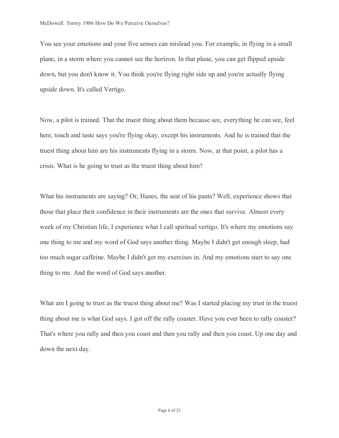You see your emotions and your five senses can mislead you. For example, in flying in a small plane, in a storm where you cannot see the horizon. In that plane, you can get flipped upside down, but you don't know it. You think you're flying right side up and you're actually flying upside down. It's called Vertigo.

Now, a pilot is trained. That the truest thing about them because see, everything he can see, feel here, touch and taste says you're flying okay, except his instruments. And he is trained that the truest thing about him are his instruments flying in a storm. Now, at that point, a pilot has a crisis. What is he going to trust as the truest thing about him?

What his instruments are saying? Or, Hanes, the seat of his pants? Well, experience shows that those that place their confidence in their instruments are the ones that survive. Almost every week of my Christian life, I experience what I call spiritual vertigo. It's where my emotions say one thing to me and my word of God says another thing. Maybe I didn't get enough sleep, had too much sugar caffeine. Maybe I didn't get my exercises in. And my emotions start to say one thing to me. And the word of God says another.

What am I going to trust as the truest thing about me? Was I started placing my trust in the truest thing about me is what God says. I got off the rally coaster. Have you ever been to rally coaster? That's where you rally and then you coast and then you rally and then you coast. Up one day and down the next day.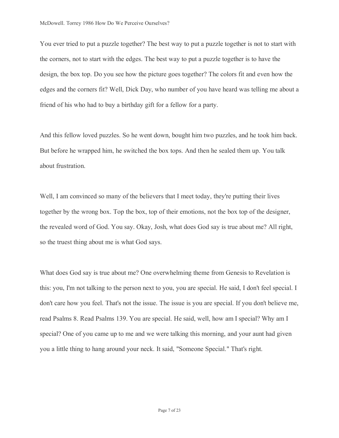You ever tried to put a puzzle together? The best way to put a puzzle together is not to start with the corners, not to start with the edges. The best way to put a puzzle together is to have the design, the box top. Do you see how the picture goes together? The colors fit and even how the edges and the corners fit? Well, Dick Day, who number of you have heard was telling me about a friend of his who had to buy a birthday gift for a fellow for a party.

And this fellow loved puzzles. So he went down, bought him two puzzles, and he took him back. But before he wrapped him, he switched the box tops. And then he sealed them up. You talk about frustration.

Well, I am convinced so many of the believers that I meet today, they're putting their lives together by the wrong box. Top the box, top of their emotions, not the box top of the designer, the revealed word of God. You say. Okay, Josh, what does God say is true about me? All right, so the truest thing about me is what God says.

What does God say is true about me? One overwhelming theme from Genesis to Revelation is this: you, I'm not talking to the person next to you, you are special. He said, I don't feel special. I don't care how you feel. That's not the issue. The issue is you are special. If you don't believe me, read Psalms 8. Read Psalms 139. You are special. He said, well, how am I special? Why am I special? One of you came up to me and we were talking this morning, and your aunt had given you a little thing to hang around your neck. It said, "Someone Special." That's right.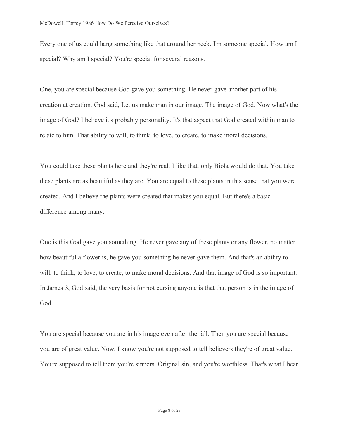Every one of us could hang something like that around her neck. I'm someone special. How am I special? Why am I special? You're special for several reasons.

One, you are special because God gave you something. He never gave another part of his creation at creation. God said, Let us make man in our image. The image of God. Now what's the image of God? I believe it's probably personality. It's that aspect that God created within man to relate to him. That ability to will, to think, to love, to create, to make moral decisions.

You could take these plants here and they're real. I like that, only Biola would do that. You take these plants are as beautiful as they are. You are equal to these plants in this sense that you were created. And I believe the plants were created that makes you equal. But there's a basic difference among many.

One is this God gave you something. He never gave any of these plants or any flower, no matter how beautiful a flower is, he gave you something he never gave them. And that's an ability to will, to think, to love, to create, to make moral decisions. And that image of God is so important. In James 3, God said, the very basis for not cursing anyone is that that person is in the image of God.

You are special because you are in his image even after the fall. Then you are special because you are of great value. Now, I know you're not supposed to tell believers they're of great value. You're supposed to tell them you're sinners. Original sin, and you're worthless. That's what I hear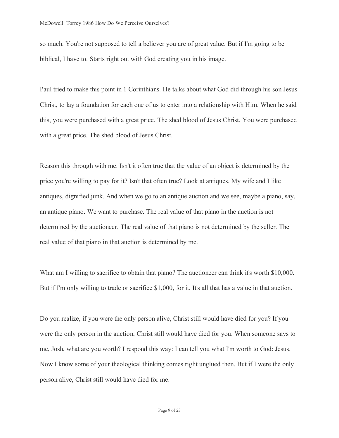so much. You're not supposed to tell a believer you are of great value. But if I'm going to be biblical, I have to. Starts right out with God creating you in his image.

Paul tried to make this point in 1 Corinthians. He talks about what God did through his son Jesus Christ, to lay a foundation for each one of us to enter into a relationship with Him. When he said this, you were purchased with a great price. The shed blood of Jesus Christ. You were purchased with a great price. The shed blood of Jesus Christ.

Reason this through with me. Isn't it often true that the value of an object is determined by the price you're willing to pay for it? Isn't that often true? Look at antiques. My wife and I like antiques, dignified junk. And when we go to an antique auction and we see, maybe a piano, say, an antique piano. We want to purchase. The real value of that piano in the auction is not determined by the auctioneer. The real value of that piano is not determined by the seller. The real value of that piano in that auction is determined by me.

What am I willing to sacrifice to obtain that piano? The auctioneer can think it's worth \$10,000. But if I'm only willing to trade or sacrifice \$1,000, for it. It's all that has a value in that auction.

Do you realize, if you were the only person alive, Christ still would have died for you? If you were the only person in the auction, Christ still would have died for you. When someone says to me, Josh, what are you worth? I respond this way: I can tell you what I'm worth to God: Jesus. Now I know some of your theological thinking comes right unglued then. But if I were the only person alive, Christ still would have died for me.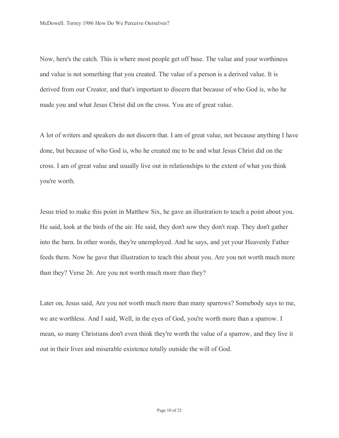Now, here's the catch. This is where most people get off base. The value and your worthiness and value is not something that you created. The value of a person is a derived value. It is derived from our Creator, and that's important to discern that because of who God is, who he made you and what Jesus Christ did on the cross. You are of great value.

A lot of writers and speakers do not discern that. I am of great value, not because anything I have done, but because of who God is, who he created me to be and what Jesus Christ did on the cross. I am of great value and usually live out in relationships to the extent of what you think you're worth.

Jesus tried to make this point in Matthew Six, he gave an illustration to teach a point about you. He said, look at the birds of the air. He said, they don't sow they don't reap. They don't gather into the barn. In other words, they're unemployed. And he says, and yet your Heavenly Father feeds them. Now he gave that illustration to teach this about you. Are you not worth much more than they? Verse 26. Are you not worth much more than they?

Later on, Jesus said, Are you not worth much more than many sparrows? Somebody says to me, we are worthless. And I said, Well, in the eyes of God, you're worth more than a sparrow. I mean, so many Christians don't even think they're worth the value of a sparrow, and they live it out in their lives and miserable existence totally outside the will of God.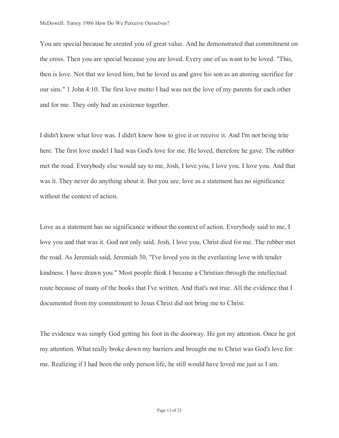You are special because he created you of great value. And he demonstrated that commitment on the cross. Then you are special because you are loved. Every one of us want to be loved. "This, then is love. Not that we loved him, but he loved us and gave his son as an atoning sacrifice for our sins." 1 John 4:10. The first love motto I had was not the love of my parents for each other and for me. They only had an existence together.

I didn't know what love was. I didn't know how to give it or receive it. And I'm not being trite here. The first love model I had was God's love for me. He loved, therefore he gave. The rubber met the road. Everybody else would say to me, Josh, I love you, I love you. I love you. And that was it. They never do anything about it. But you see, love as a statement has no significance without the context of action.

Love as a statement has no significance without the context of action. Everybody said to me, I love you and that was it. God not only said, Josh, I love you, Christ died for me. The rubber met the road. As Jeremiah said, Jeremiah 30, "I've loved you in the everlasting love with tender kindness. I have drawn you." Most people think I became a Christian through the intellectual route because of many of the books that I've written. And that's not true. All the evidence that I documented from my commitment to Jesus Christ did not bring me to Christ.

The evidence was simply God getting his foot in the doorway. He got my attention. Once he got my attention. What really broke down my barriers and brought me to Christ was God's love for me. Realizing if I had been the only person life, he still would have loved me just as I am.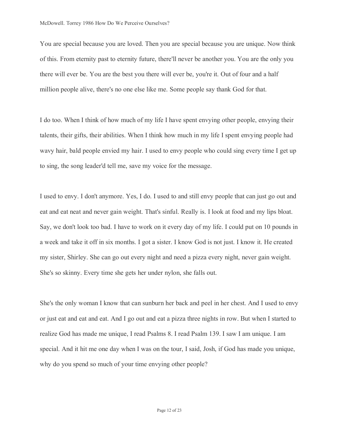You are special because you are loved. Then you are special because you are unique. Now think of this. From eternity past to eternity future, there'll never be another you. You are the only you there will ever be. You are the best you there will ever be, you're it. Out of four and a half million people alive, there's no one else like me. Some people say thank God for that.

I do too. When I think of how much of my life I have spent envying other people, envying their talents, their gifts, their abilities. When I think how much in my life I spent envying people had wavy hair, bald people envied my hair. I used to envy people who could sing every time I get up to sing, the song leader'd tell me, save my voice for the message.

I used to envy. I don't anymore. Yes, I do. I used to and still envy people that can just go out and eat and eat neat and never gain weight. That's sinful. Really is. I look at food and my lips bloat. Say, we don't look too bad. I have to work on it every day of my life. I could put on 10 pounds in a week and take it off in six months. I got a sister. I know God is not just. I know it. He created my sister, Shirley. She can go out every night and need a pizza every night, never gain weight. She's so skinny. Every time she gets her under nylon, she falls out.

She's the only woman I know that can sunburn her back and peel in her chest. And I used to envy or just eat and eat and eat. And I go out and eat a pizza three nights in row. But when I started to realize God has made me unique, I read Psalms 8. I read Psalm 139. I saw I am unique. I am special. And it hit me one day when I was on the tour, I said, Josh, if God has made you unique, why do you spend so much of your time envying other people?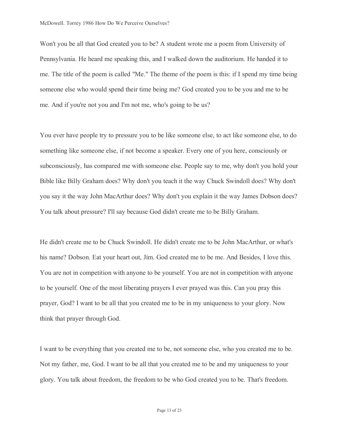Won't you be all that God created you to be? A student wrote me a poem from University of Pennsylvania. He heard me speaking this, and I walked down the auditorium. He handed it to me. The title of the poem is called "Me." The theme of the poem is this: if I spend my time being someone else who would spend their time being me? God created you to be you and me to be me. And if you're not you and I'm not me, who's going to be us?

You ever have people try to pressure you to be like someone else, to act like someone else, to do something like someone else, if not become a speaker. Every one of you here, consciously or subconsciously, has compared me with someone else. People say to me, why don't you hold your Bible like Billy Graham does? Why don't you teach it the way Chuck Swindoll does? Why don't you say it the way John MacArthur does? Why don't you explain it the way James Dobson does? You talk about pressure? I'll say because God didn't create me to be Billy Graham.

He didn't create me to be Chuck Swindoll. He didn't create me to be John MacArthur, or what's his name? Dobson. Eat your heart out, Jim. God created me to be me. And Besides, I love this. You are not in competition with anyone to be yourself. You are not in competition with anyone to be yourself. One of the most liberating prayers I ever prayed was this. Can you pray this prayer, God? I want to be all that you created me to be in my uniqueness to your glory. Now think that prayer through God.

I want to be everything that you created me to be, not someone else, who you created me to be. Not my father, me, God. I want to be all that you created me to be and my uniqueness to your glory. You talk about freedom, the freedom to be who God created you to be. That's freedom.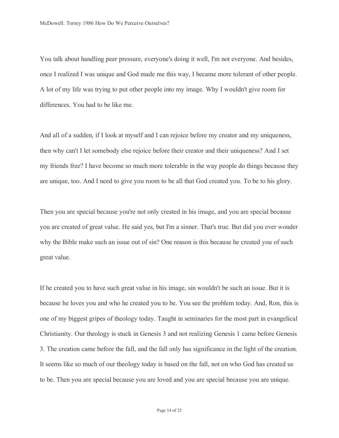You talk about handling peer pressure, everyone's doing it well, I'm not everyone. And besides, once I realized I was unique and God made me this way, I became more tolerant of other people. A lot of my life was trying to put other people into my image. Why I wouldn't give room for differences. You had to be like me.

And all of a sudden, if I look at myself and I can rejoice before my creator and my uniqueness, then why can't I let somebody else rejoice before their creator and their uniqueness? And I set my friends free? I have become so much more tolerable in the way people do things because they are unique, too. And I need to give you room to be all that God created you. To be to his glory.

Then you are special because you're not only created in his image, and you are special because you are created of great value. He said yes, but I'm a sinner. That's true. But did you ever wonder why the Bible make such an issue out of sin? One reason is this because he created you of such great value.

If he created you to have such great value in his image, sin wouldn't be such an issue. But it is because he loves you and who he created you to be. You see the problem today. And, Ron, this is one of my biggest gripes of theology today. Taught in seminaries for the most part in evangelical Christianity. Our theology is stuck in Genesis 3 and not realizing Genesis 1 came before Genesis 3. The creation came before the fall, and the fall only has significance in the light of the creation. It seems like so much of our theology today is based on the fall, not on who God has created us to be. Then you are special because you are loved and you are special because you are unique.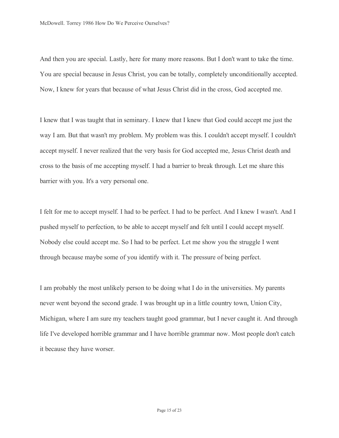And then you are special. Lastly, here for many more reasons. But I don't want to take the time. You are special because in Jesus Christ, you can be totally, completely unconditionally accepted. Now, I knew for years that because of what Jesus Christ did in the cross, God accepted me.

I knew that I was taught that in seminary. I knew that I knew that God could accept me just the way I am. But that wasn't my problem. My problem was this. I couldn't accept myself. I couldn't accept myself. I never realized that the very basis for God accepted me, Jesus Christ death and cross to the basis of me accepting myself. I had a barrier to break through. Let me share this barrier with you. It's a very personal one.

I felt for me to accept myself. I had to be perfect. I had to be perfect. And I knew I wasn't. And I pushed myself to perfection, to be able to accept myself and felt until I could accept myself. Nobody else could accept me. So I had to be perfect. Let me show you the struggle I went through because maybe some of you identify with it. The pressure of being perfect.

I am probably the most unlikely person to be doing what I do in the universities. My parents never went beyond the second grade. I was brought up in a little country town, Union City, Michigan, where I am sure my teachers taught good grammar, but I never caught it. And through life I've developed horrible grammar and I have horrible grammar now. Most people don't catch it because they have worser.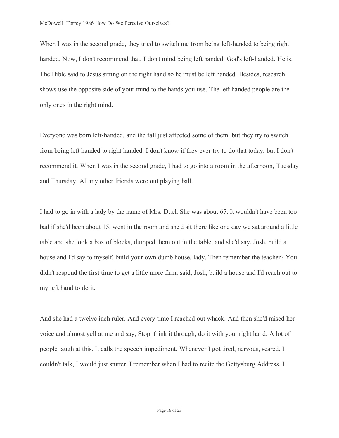When I was in the second grade, they tried to switch me from being left-handed to being right handed. Now, I don't recommend that. I don't mind being left handed. God's left-handed. He is. The Bible said to Jesus sitting on the right hand so he must be left handed. Besides, research shows use the opposite side of your mind to the hands you use. The left handed people are the only ones in the right mind.

Everyone was born left-handed, and the fall just affected some of them, but they try to switch from being left handed to right handed. I don't know if they ever try to do that today, but I don't recommend it. When I was in the second grade, I had to go into a room in the afternoon, Tuesday and Thursday. All my other friends were out playing ball.

I had to go in with a lady by the name of Mrs. Duel. She was about 65. It wouldn't have been too bad if she'd been about 15, went in the room and she'd sit there like one day we sat around a little table and she took a box of blocks, dumped them out in the table, and she'd say, Josh, build a house and I'd say to myself, build your own dumb house, lady. Then remember the teacher? You didn't respond the first time to get a little more firm, said, Josh, build a house and I'd reach out to my left hand to do it.

And she had a twelve inch ruler. And every time I reached out whack. And then she'd raised her voice and almost yell at me and say, Stop, think it through, do it with your right hand. A lot of people laugh at this. It calls the speech impediment. Whenever I got tired, nervous, scared, I couldn't talk, I would just stutter. I remember when I had to recite the Gettysburg Address. I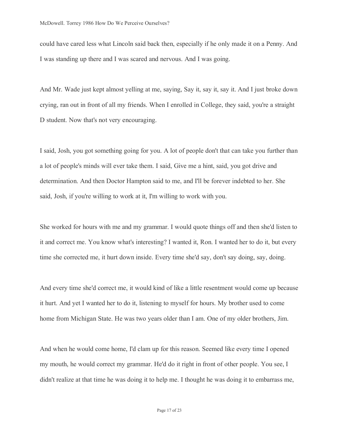could have cared less what Lincoln said back then, especially if he only made it on a Penny. And I was standing up there and I was scared and nervous. And I was going.

And Mr. Wade just kept almost yelling at me, saying, Say it, say it, say it. And I just broke down crying, ran out in front of all my friends. When I enrolled in College, they said, you're a straight D student. Now that's not very encouraging.

I said, Josh, you got something going for you. A lot of people don't that can take you further than a lot of people's minds will ever take them. I said, Give me a hint, said, you got drive and determination. And then Doctor Hampton said to me, and I'll be forever indebted to her. She said, Josh, if you're willing to work at it, I'm willing to work with you.

She worked for hours with me and my grammar. I would quote things off and then she'd listen to it and correct me. You know what's interesting? I wanted it, Ron. I wanted her to do it, but every time she corrected me, it hurt down inside. Every time she'd say, don't say doing, say, doing.

And every time she'd correct me, it would kind of like a little resentment would come up because it hurt. And yet I wanted her to do it, listening to myself for hours. My brother used to come home from Michigan State. He was two years older than I am. One of my older brothers, Jim.

And when he would come home, I'd clam up for this reason. Seemed like every time I opened my mouth, he would correct my grammar. He'd do it right in front of other people. You see, I didn't realize at that time he was doing it to help me. I thought he was doing it to embarrass me,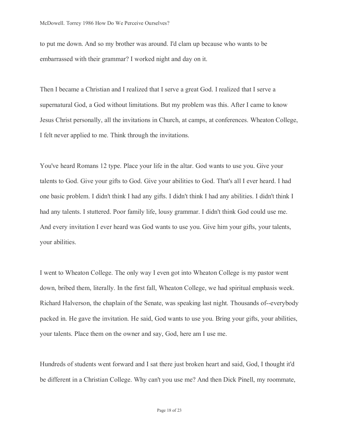to put me down. And so my brother was around. I'd clam up because who wants to be embarrassed with their grammar? I worked night and day on it.

Then I became a Christian and I realized that I serve a great God. I realized that I serve a supernatural God, a God without limitations. But my problem was this. After I came to know Jesus Christ personally, all the invitations in Church, at camps, at conferences. Wheaton College, I felt never applied to me. Think through the invitations.

You've heard Romans 12 type. Place your life in the altar. God wants to use you. Give your talents to God. Give your gifts to God. Give your abilities to God. That's all I ever heard. I had one basic problem. I didn't think I had any gifts. I didn't think I had any abilities. I didn't think I had any talents. I stuttered. Poor family life, lousy grammar. I didn't think God could use me. And every invitation I ever heard was God wants to use you. Give him your gifts, your talents, your abilities.

I went to Wheaton College. The only way I even got into Wheaton College is my pastor went down, bribed them, literally. In the first fall, Wheaton College, we had spiritual emphasis week. Richard Halverson, the chaplain of the Senate, was speaking last night. Thousands of--everybody packed in. He gave the invitation. He said, God wants to use you. Bring your gifts, your abilities, your talents. Place them on the owner and say, God, here am I use me.

Hundreds of students went forward and I sat there just broken heart and said, God, I thought it'd be different in a Christian College. Why can't you use me? And then Dick Pinell, my roommate,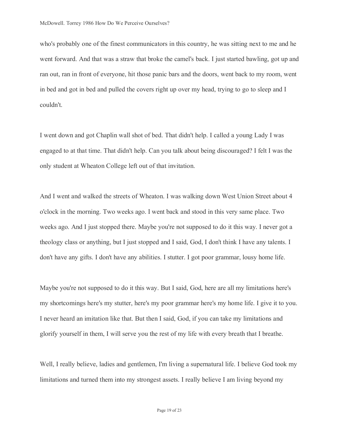who's probably one of the finest communicators in this country, he was sitting next to me and he went forward. And that was a straw that broke the camel's back. I just started bawling, got up and ran out, ran in front of everyone, hit those panic bars and the doors, went back to my room, went in bed and got in bed and pulled the covers right up over my head, trying to go to sleep and I couldn't.

I went down and got Chaplin wall shot of bed. That didn't help. I called a young Lady I was engaged to at that time. That didn't help. Can you talk about being discouraged? I felt I was the only student at Wheaton College left out of that invitation.

And I went and walked the streets of Wheaton. I was walking down West Union Street about 4 o'clock in the morning. Two weeks ago. I went back and stood in this very same place. Two weeks ago. And I just stopped there. Maybe you're not supposed to do it this way. I never got a theology class or anything, but I just stopped and I said, God, I don't think I have any talents. I don't have any gifts. I don't have any abilities. I stutter. I got poor grammar, lousy home life.

Maybe you're not supposed to do it this way. But I said, God, here are all my limitations here's my shortcomings here's my stutter, here's my poor grammar here's my home life. I give it to you. I never heard an imitation like that. But then I said, God, if you can take my limitations and glorify yourself in them, I will serve you the rest of my life with every breath that I breathe.

Well, I really believe, ladies and gentlemen, I'm living a supernatural life. I believe God took my limitations and turned them into my strongest assets. I really believe I am living beyond my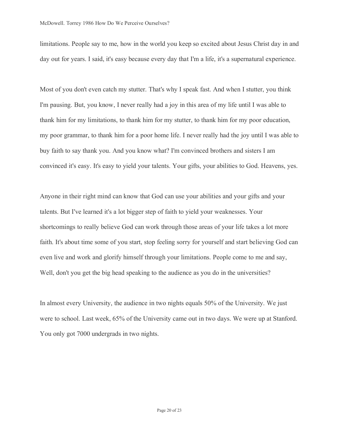limitations. People say to me, how in the world you keep so excited about Jesus Christ day in and day out for years. I said, it's easy because every day that I'm a life, it's a supernatural experience.

Most of you don't even catch my stutter. That's why I speak fast. And when I stutter, you think I'm pausing. But, you know, I never really had a joy in this area of my life until I was able to thank him for my limitations, to thank him for my stutter, to thank him for my poor education, my poor grammar, to thank him for a poor home life. I never really had the joy until I was able to buy faith to say thank you. And you know what? I'm convinced brothers and sisters I am convinced it's easy. It's easy to yield your talents. Your gifts, your abilities to God. Heavens, yes.

Anyone in their right mind can know that God can use your abilities and your gifts and your talents. But I've learned it's a lot bigger step of faith to yield your weaknesses. Your shortcomings to really believe God can work through those areas of your life takes a lot more faith. It's about time some of you start, stop feeling sorry for yourself and start believing God can even live and work and glorify himself through your limitations. People come to me and say, Well, don't you get the big head speaking to the audience as you do in the universities?

In almost every University, the audience in two nights equals 50% of the University. We just were to school. Last week, 65% of the University came out in two days. We were up at Stanford. You only got 7000 undergrads in two nights.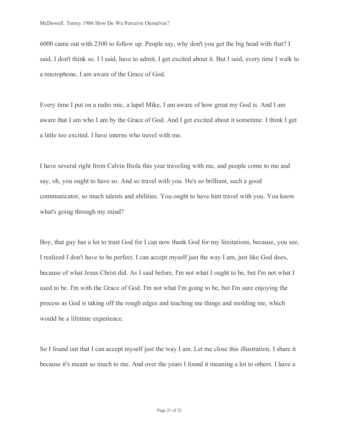6000 came out with 2300 to follow up. People say, why don't you get the big head with that? I said, I don't think so. I I said, have to admit, I get excited about it. But I said, every time I walk to a microphone, I am aware of the Grace of God.

Every time I put on a radio mic, a lapel Mike, I am aware of how great my God is. And I am aware that I am who I am by the Grace of God. And I get excited about it sometime. I think I get a little too excited. I have interns who travel with me.

I have several right from Calvin Biola this year traveling with me, and people come to me and say, oh, you ought to have so. And so travel with you. He's so brilliant, such a good communicator, so much talents and abilities. You ought to have him travel with you. You know what's going through my mind?

Boy, that guy has a lot to trust God for I can now thank God for my limitations, because, you see, I realized I don't have to be perfect. I can accept myself just the way I am, just like God does, because of what Jesus Christ did. As I said before, I'm not what I ought to be, but I'm not what I used to be. I'm with the Grace of God. I'm not what I'm going to be, but I'm sure enjoying the process as God is taking off the rough edges and teaching me things and molding me, which would be a lifetime experience.

So I found out that I can accept myself just the way I am. Let me close this illustration. I share it because it's meant so much to me. And over the years I found it meaning a lot to others. I have a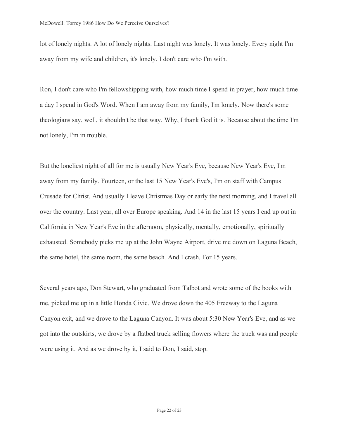lot of lonely nights. A lot of lonely nights. Last night was lonely. It was lonely. Every night I'm away from my wife and children, it's lonely. I don't care who I'm with.

Ron, I don't care who I'm fellowshipping with, how much time I spend in prayer, how much time a day I spend in God's Word. When I am away from my family, I'm lonely. Now there's some theologians say, well, it shouldn't be that way. Why, I thank God it is. Because about the time I'm not lonely, I'm in trouble.

But the loneliest night of all for me is usually New Year's Eve, because New Year's Eve, I'm away from my family. Fourteen, or the last 15 New Year's Eve's, I'm on staff with Campus Crusade for Christ. And usually I leave Christmas Day or early the next morning, and I travel all over the country. Last year, all over Europe speaking. And 14 in the last 15 years I end up out in California in New Year's Eve in the afternoon, physically, mentally, emotionally, spiritually exhausted. Somebody picks me up at the John Wayne Airport, drive me down on Laguna Beach, the same hotel, the same room, the same beach. And I crash. For 15 years.

Several years ago, Don Stewart, who graduated from Talbot and wrote some of the books with me, picked me up in a little Honda Civic. We drove down the 405 Freeway to the Laguna Canyon exit, and we drove to the Laguna Canyon. It was about 5:30 New Year's Eve, and as we got into the outskirts, we drove by a flatbed truck selling flowers where the truck was and people were using it. And as we drove by it, I said to Don, I said, stop.